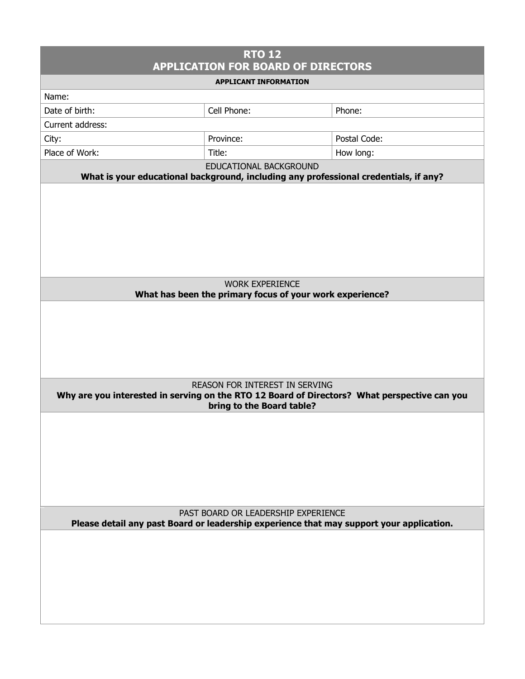| <b>RTO 12</b><br><b>APPLICATION FOR BOARD OF DIRECTORS</b>                                                                                                         |             |              |  |
|--------------------------------------------------------------------------------------------------------------------------------------------------------------------|-------------|--------------|--|
| <b>APPLICANT INFORMATION</b>                                                                                                                                       |             |              |  |
| Name:                                                                                                                                                              |             |              |  |
| Date of birth:                                                                                                                                                     | Cell Phone: | Phone:       |  |
| Current address:                                                                                                                                                   |             |              |  |
| City:                                                                                                                                                              | Province:   | Postal Code: |  |
| Place of Work:                                                                                                                                                     | Title:      | How long:    |  |
| EDUCATIONAL BACKGROUND                                                                                                                                             |             |              |  |
| What is your educational background, including any professional credentials, if any?                                                                               |             |              |  |
|                                                                                                                                                                    |             |              |  |
| <b>WORK EXPERIENCE</b><br>What has been the primary focus of your work experience?                                                                                 |             |              |  |
|                                                                                                                                                                    |             |              |  |
| <b>REASON FOR INTEREST IN SERVING</b><br>Why are you interested in serving on the RTO 12 Board of Directors? What perspective can you<br>bring to the Board table? |             |              |  |
|                                                                                                                                                                    |             |              |  |
| PAST BOARD OR LEADERSHIP EXPERIENCE<br>Please detail any past Board or leadership experience that may support your application.                                    |             |              |  |
|                                                                                                                                                                    |             |              |  |